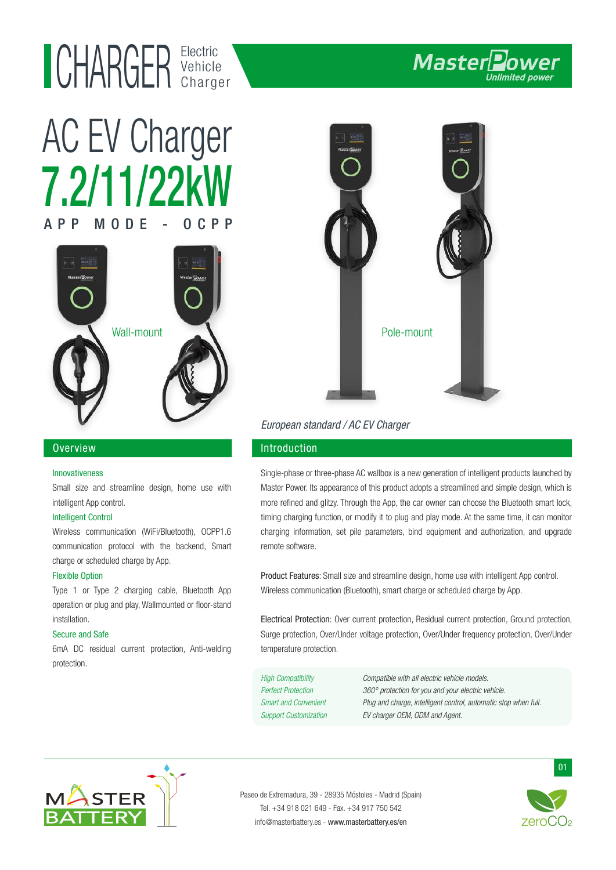## Electric UHAKUEK Vehicle

# 7.2/11/22kW AC EV Charger  $APP$   $M$   $O$   $D$   $F$   $O$



#### Overview

#### Innovativeness

Small size and streamline design, home use with intelligent App control.

#### Intelligent Control

Wireless communication (WiFi/Bluetooth), OCPP1.6 communication protocol with the backend, Smart charge or scheduled charge by App.

#### Flexible Option

Type 1 or Type 2 charging cable, Bluetooth App operation or plug and play, Wallmounted or floor-stand installation.

#### Secure and Safe

6mA DC residual current protection, Anti-welding protection.



### European standard / AC EV Charger

### Introduction

Single-phase or three-phase AC wallbox is a new generation of intelligent products launched by Master Power. Its appearance of this product adopts a streamlined and simple design, which is more refined and glitzy. Through the App, the car owner can choose the Bluetooth smart lock, timing charging function, or modify it to plug and play mode. At the same time, it can monitor charging information, set pile parameters, bind equipment and authorization, and upgrade remote software.

Product Features: Small size and streamline design, home use with intelligent App control. Wireless communication (Bluetooth), smart charge or scheduled charge by App.

Electrical Protection: Over current protection, Residual current protection, Ground protection, Surge protection, Over/Under voltage protection, Over/Under frequency protection, Over/Under temperature protection.

High Compatibility Compatible with all electric vehicle models. Perfect Protection 360° protection for you and your electric vehicle. Smart and Convenient Plug and charge, intelligent control, automatic stop when full. Support Customization EV charger OEM, ODM and Agent.



Paseo de Extremadura, 39 - 28935 Móstoles - Madrid (Spain) Tel. +34 918 021 649 - Fax. +34 917 750 542 info@masterbattery.es - www.masterbattery.es/en



01